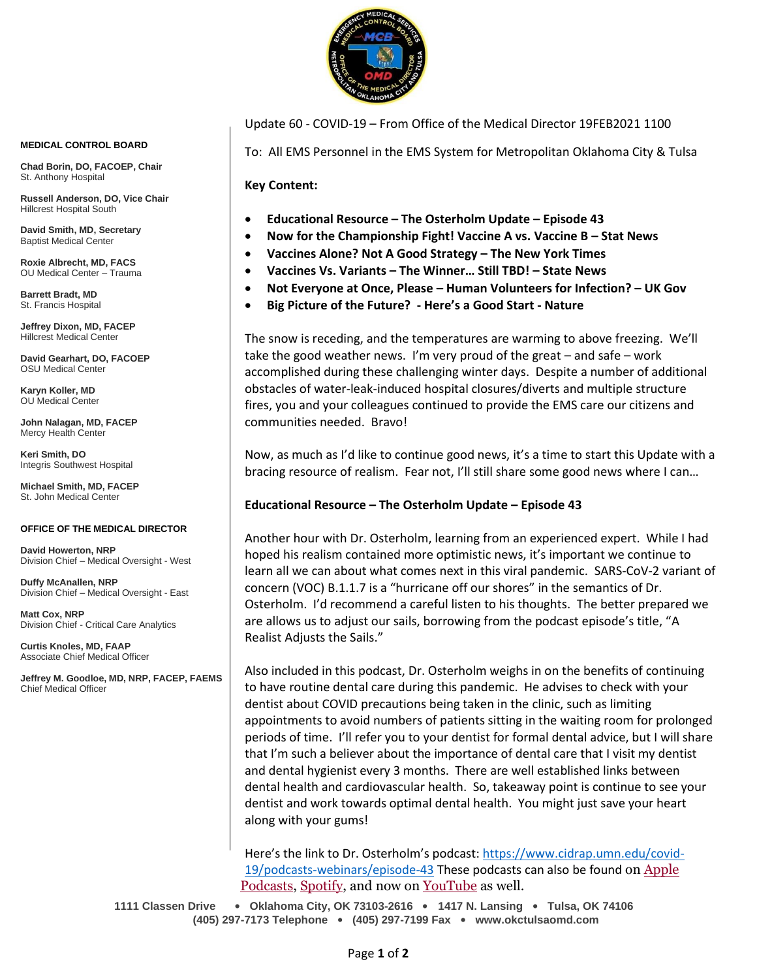

Update 60 - COVID-19 – From Office of the Medical Director 19FEB2021 1100

To: All EMS Personnel in the EMS System for Metropolitan Oklahoma City & Tulsa

**Key Content:**

- **Educational Resource – The Osterholm Update – Episode 43**
- **Now for the Championship Fight! Vaccine A vs. Vaccine B – Stat News**
- **Vaccines Alone? Not A Good Strategy – The New York Times**
- **Vaccines Vs. Variants – The Winner… Still TBD! – State News**
- **Not Everyone at Once, Please – Human Volunteers for Infection? – UK Gov**
- **Big Picture of the Future? - Here's a Good Start - Nature**

The snow is receding, and the temperatures are warming to above freezing. We'll take the good weather news. I'm very proud of the great – and safe – work accomplished during these challenging winter days. Despite a number of additional obstacles of water-leak-induced hospital closures/diverts and multiple structure fires, you and your colleagues continued to provide the EMS care our citizens and communities needed. Bravo!

Now, as much as I'd like to continue good news, it's a time to start this Update with a bracing resource of realism. Fear not, I'll still share some good news where I can...

#### **Educational Resource – The Osterholm Update – Episode 43**

Another hour with Dr. Osterholm, learning from an experienced expert. While I had hoped his realism contained more optimistic news, it's important we continue to learn all we can about what comes next in this viral pandemic. SARS-CoV-2 variant of concern (VOC) B.1.1.7 is a "hurricane off our shores" in the semantics of Dr. Osterholm. I'd recommend a careful listen to his thoughts. The better prepared we are allows us to adjust our sails, borrowing from the podcast episode's title, "A Realist Adjusts the Sails."

Also included in this podcast, Dr. Osterholm weighs in on the benefits of continuing to have routine dental care during this pandemic. He advises to check with your dentist about COVID precautions being taken in the clinic, such as limiting appointments to avoid numbers of patients sitting in the waiting room for prolonged periods of time. I'll refer you to your dentist for formal dental advice, but I will share that I'm such a believer about the importance of dental care that I visit my dentist and dental hygienist every 3 months. There are well established links between dental health and cardiovascular health. So, takeaway point is continue to see your dentist and work towards optimal dental health. You might just save your heart along with your gums!

Here's the link to Dr. Osterholm's podcast: [https://www.cidrap.umn.edu/covid-](https://www.cidrap.umn.edu/covid-19/podcasts-webinars/episode-43)[19/podcasts-webinars/episode-43](https://www.cidrap.umn.edu/covid-19/podcasts-webinars/episode-43) These podcasts can also be found on Apple [Podcasts,](https://podcasts.apple.com/us/podcast/the-osterholm-update-covid-19/id1504360345) [Spotify,](https://open.spotify.com/show/0ymlroFYVlSAnoq0uqECGx) and now on [YouTube](https://www.youtube.com/c/OsterholmUpdateCOVID19) as well.

**1111 Classen Drive** • **Oklahoma City, OK 73103-2616** • **1417 N. Lansing** • **Tulsa, OK 74106 (405) 297-7173 Telephone** • **(405) 297-7199 Fax** • **www.okctulsaomd.com**

#### **MEDICAL CONTROL BOARD**

**Chad Borin, DO, FACOEP, Chair**  St. Anthony Hospital

**Russell Anderson, DO, Vice Chair** Hillcrest Hospital South

**David Smith, MD, Secretary** Baptist Medical Center

**Roxie Albrecht, MD, FACS** OU Medical Center – Trauma

**Barrett Bradt, MD** St. Francis Hospital

**Jeffrey Dixon, MD, FACEP** Hillcrest Medical Center

**David Gearhart, DO, FACOEP** OSU Medical Center

**Karyn Koller, MD** OU Medical Center

**John Nalagan, MD, FACEP** Mercy Health Center

**Keri Smith, DO** Integris Southwest Hospital

**Michael Smith, MD, FACEP** St. John Medical Center

#### **OFFICE OF THE MEDICAL DIRECTOR**

**David Howerton, NRP** Division Chief – Medical Oversight - West

**Duffy McAnallen, NRP** Division Chief – Medical Oversight - East

**Matt Cox, NRP** Division Chief - Critical Care Analytics

**Curtis Knoles, MD, FAAP** Associate Chief Medical Officer

**Jeffrey M. Goodloe, MD, NRP, FACEP, FAEMS** Chief Medical Officer